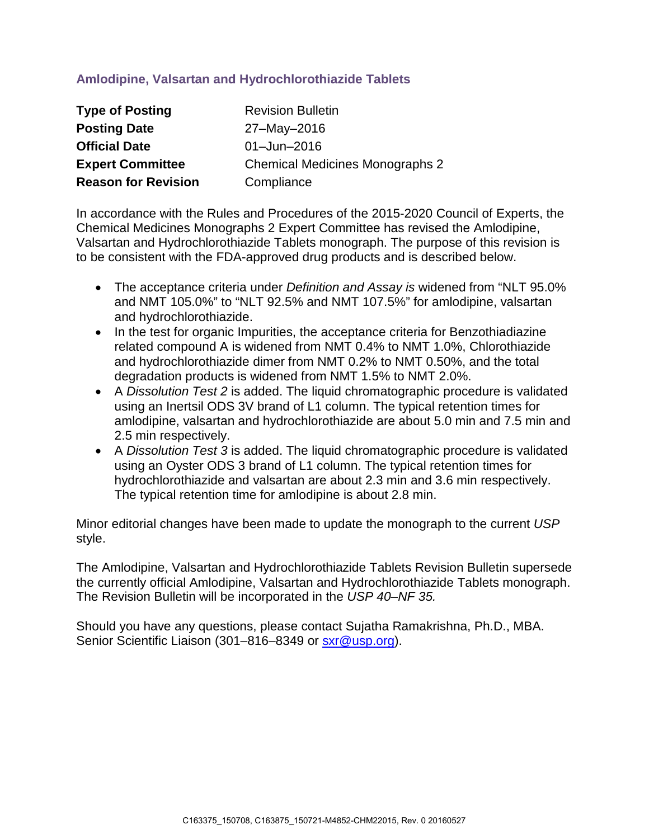# **Amlodipine, Valsartan and Hydrochlorothiazide Tablets**

| <b>Type of Posting</b>     | <b>Revision Bulletin</b>               |
|----------------------------|----------------------------------------|
| <b>Posting Date</b>        | 27-May-2016                            |
| <b>Official Date</b>       | $01 -$ Jun $-2016$                     |
| <b>Expert Committee</b>    | <b>Chemical Medicines Monographs 2</b> |
| <b>Reason for Revision</b> | Compliance                             |

In accordance with the Rules and Procedures of the 2015-2020 Council of Experts, the Chemical Medicines Monographs 2 Expert Committee has revised the Amlodipine, Valsartan and Hydrochlorothiazide Tablets monograph. The purpose of this revision is to be consistent with the FDA-approved drug products and is described below.

- The acceptance criteria under *Definition and Assay is* widened from "NLT 95.0% and NMT 105.0%" to "NLT 92.5% and NMT 107.5%" for amlodipine, valsartan and hydrochlorothiazide.
- In the test for organic Impurities, the acceptance criteria for Benzothiadiazine related compound A is widened from NMT 0.4% to NMT 1.0%, Chlorothiazide and hydrochlorothiazide dimer from NMT 0.2% to NMT 0.50%, and the total degradation products is widened from NMT 1.5% to NMT 2.0%.
- A *Dissolution Test 2* is added. The liquid chromatographic procedure is validated using an Inertsil ODS 3V brand of L1 column. The typical retention times for amlodipine, valsartan and hydrochlorothiazide are about 5.0 min and 7.5 min and 2.5 min respectively.
- A *Dissolution Test 3* is added. The liquid chromatographic procedure is validated using an Oyster ODS 3 brand of L1 column. The typical retention times for hydrochlorothiazide and valsartan are about 2.3 min and 3.6 min respectively. The typical retention time for amlodipine is about 2.8 min.

Minor editorial changes have been made to update the monograph to the current *USP* style.

The Amlodipine, Valsartan and Hydrochlorothiazide Tablets Revision Bulletin supersede the currently official Amlodipine, Valsartan and Hydrochlorothiazide Tablets monograph. The Revision Bulletin will be incorporated in the *USP 40–NF 35.* 

Should you have any questions, please contact Sujatha Ramakrishna, Ph.D., MBA. Senior Scientific Liaison (301-816-8349 or [sxr@usp.org\)](mailto:sxr@usp.org).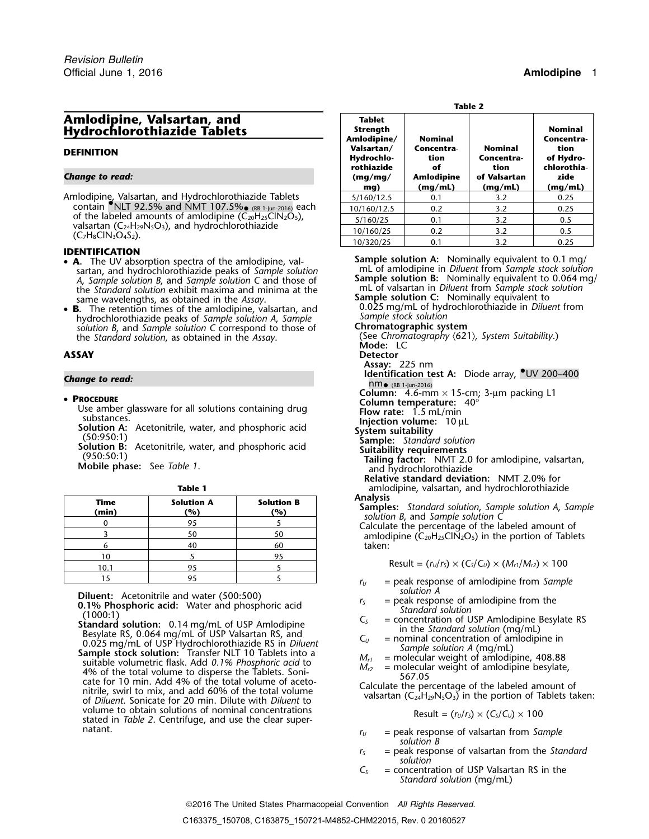## **Amlodipine, Valsartan, and Tablet Hydrochlorothiazide Tablets**

### *<u>Change to read:</u>*

### **IDENTIFICATION**

- sartan, and hydrochlorothiazide peaks of *Sample solution* mL of amlodipine in *Diluent* from *Sample stock solution A*, *Sample solution B*, and *Sample solution* C and those of the *Standard solution* exhibit maxima and minima at the the *Standard solution* exhibit maxima and minima at the mL of valsartan in *Diluent* from *Sample stock solution* same wavelengths, as obtained in the *Assay*. **Sample solution C:** Nominally equivalent to
- **<sup>B</sup>.** The retention times of the amlodipine, valsartan, and 0.025 mg/mL of hydrochlorothiazide in *Diluent* from hydrochlorothiazide peaks of *Sample solution A, Sample Sample Stock solution*<br>solution B, and *Sample solution* C correspond to those of **Chromatographic system** *solution B, and Sample solution C* correspond to those of the *Standard solution*, as obtained in the *Assay*.

- 
- 

| ۰.<br>٠<br>× |  |
|--------------|--|
|--------------|--|

| <b>Analysis</b><br>Samples: Standard solution, Sample solution A, S<br>solution B, and Sample solution C | <b>Solution B</b><br>(%) | <b>Solution A</b><br>(%) | Time<br>(min) |
|----------------------------------------------------------------------------------------------------------|--------------------------|--------------------------|---------------|
| Calculate the percentage of the labeled amount                                                           |                          | 95                       |               |
| amlodipine $(C_{20}H_{25}ClN_2O_5)$ in the portion of Tal                                                | 50                       | 50                       |               |
| taken:                                                                                                   | 60                       | 40                       |               |
|                                                                                                          | 95                       |                          | 10            |
| Result = $(r_U/r_s) \times (C_s/C_u) \times (M_{r1}/M_{r2}) \times 100$                                  |                          |                          | 10.1          |
| $=$ paak response of amodining from $S_{\ell m}$                                                         |                          |                          |               |

**Diluent:** Acetonitrile and water (500:500)<br>
0.1% Phosphoric acid: Water and phosphoric acid<br>
1.1% Phosphoric acid: Water and phosphoric acid<br>
1.1% Of the Standard solution: 0.14 mg/mL of USP Amlodipine<br>
1.1% Standard sol volume to obtain solutions of nominal concentrations<br>stated in *Table 2*. Centrifuge, and use the clear super-<br>natant.

| ۰.<br>۰.<br>M. |
|----------------|
|----------------|

|                                                                                                                                                                                                              | Table 2                                         |                              |                                      |                                                                                     |  |
|--------------------------------------------------------------------------------------------------------------------------------------------------------------------------------------------------------------|-------------------------------------------------|------------------------------|--------------------------------------|-------------------------------------------------------------------------------------|--|
| Amlodipine, Valsartan, and<br><b>Hydrochlorothiazide Tablets</b>                                                                                                                                             | <b>Tablet</b><br><b>Strength</b><br>Amlodipine/ | <b>Nominal</b>               |                                      | <b>Nominal</b><br>Concentra-<br>tion<br>of Hydro-<br>chlorothia-<br>zide<br>(mg/mL) |  |
| <b>DEFINITION</b>                                                                                                                                                                                            | Valsartan/<br>Hydrochlo-<br>rothiazide          | Concentra-<br>tion<br>оf     | <b>Nominal</b><br>Concentra-<br>tion |                                                                                     |  |
| <b>Change to read:</b>                                                                                                                                                                                       | (mq/mq)<br>mg)                                  | <b>Amlodipine</b><br>(mq/mL) | of Valsartan<br>(mq/mL)              |                                                                                     |  |
| Amlodipine, Valsartan, and Hydrochlorothiazide Tablets<br>contain $\bullet$ NLT 92.5% and NMT 107.5% $_{\bullet}$ (RB 1-Jun-2016) each<br>of the labeled amounts of amlodipine $(C_{20}H_{25}CN_{2}O_{5})$ , | 5/160/12.5                                      | 0.1                          | 3.2                                  | 0.25                                                                                |  |
|                                                                                                                                                                                                              | 10/160/12.5                                     | 0.2                          | 3.2                                  | 0.25                                                                                |  |
|                                                                                                                                                                                                              | 5/160/25                                        | 0.1                          | 3.2                                  | 0.5                                                                                 |  |
| valsartan (C <sub>24</sub> H <sub>29</sub> N <sub>5</sub> O <sub>3</sub> ), and hydrochlorothiazide<br>$(C_7H_8ClN_3O_4S_2)$ .                                                                               | 10/160/25                                       | 0.2                          | 3.2                                  | 0.5                                                                                 |  |
|                                                                                                                                                                                                              | 10/320/25                                       | 0.1                          | 3.2                                  | 0.25                                                                                |  |

• **A**. The UV absorption spectra of the amlodipine, val-<br>**Sample solution A:** Nominally equivalent to 0.1 mg/ (See *Chromatography* 〈621〉*, System Suitability*.) the *Standard solution*, as obtained in the *Assay*. **Mode:** LC **ASSAY Detector Assay:** 225 nm **Identification test A:** Diode array, •UV 200–400 **Change to read:** nm• (RB 1-Jun-2016) **Column:** 4.6-mm × 15-cm; 3-µm packing L1<br>**Column temperature:** 40° **Column temperature:** 40° • **PROCEDURE**<br>
Use amber glassware for all solutions containing drug<br>
substances.<br>
Solution A: Acetonitrile, water, and phosphoric acid<br>
(50:950:1)<br>
Solution B: Acetonitrile, water, and phosphoric acid<br>
(950:50:1)<br>
Mobile **Relative standard deviation:** NMT 2.0% for amlodipine, valsartan, and hydrochlorothiazide<br>**Analysis Samples:** *Standard solution, Sample solution A, Sample solution B, and Sample solution C*<br>Calculate the percentage of the labeled amount of amlodipine ( $C_{20}H_{25}CIN_2O_5$ ) in the portion of Tablets taken:

$$
Result = (rU/rS) \times (CS/CU) \times (Mr1/Mr2) \times 100
$$

- $r_U$  = peak response of amlodipine from *Sample*
- 
- 
- 
- 
- 

- $r_U$  = peak response of valsartan from *Sample solution B*
- *<sup>r</sup><sup>S</sup>* = peak response of valsartan from the *Standard solution*
- *C<sup>S</sup>* = concentration of USP Valsartan RS in the *Standard solution* (mg/mL)

2016 The United States Pharmacopeial Convention *All Rights Reserved.*

C163375\_150708, C163875\_150721-M4852-CHM22015, Rev. 0 20160527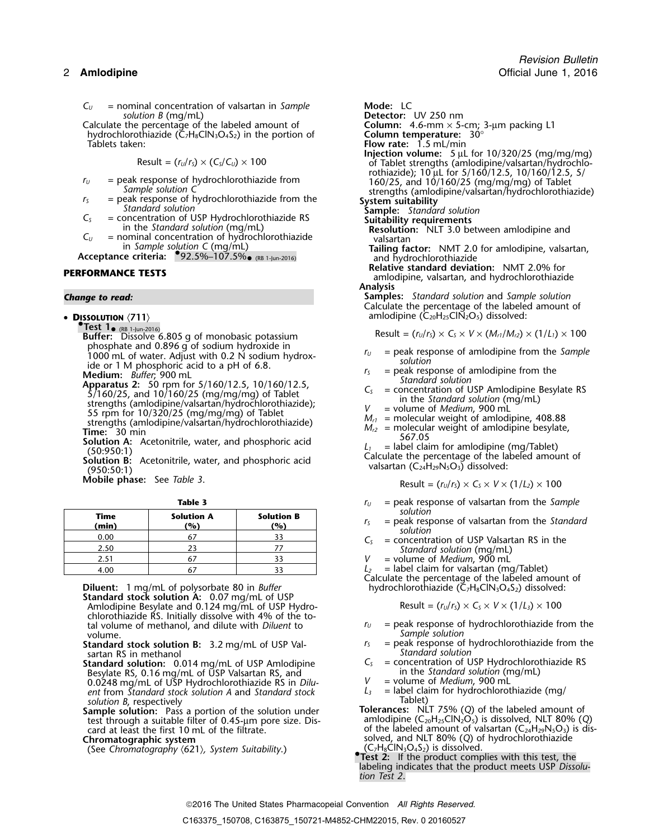*C*<sub>*U*</sub> = nominal concentration of valsartan in *Sample* **Mode:** LC<br>solution *B* (mq/mL) **Detector:** 

Calculate the percentage of the labeled amount of hydrochlorothiazide (Č<sub>7</sub>H<sub>8</sub>ClN<sub>3</sub>O<sub>4</sub>S<sub>2</sub>) in the portion of Tablets taken:

$$
Result = (r_U/r_S) \times (C_S/C_U) \times 100
$$

- 
- 
- 
- 

• DISSOLUTION  $\langle 711 \rangle$ 

**.Test 1**•**RESULT = (** $r_U/r_S$ **)**  $\times C_S \times V \times (M_{ri}/M_{r2}) \times (1/L_i) \times 100$ <br>phosphate and 0.896 g of sodium hydroxide in phosphate and 0.896 g of sodium hydroxide in <br>1000 mL of water. Adjust with 0.2 N sodium hydrox-<br>*ide* or 1 M phosphoric acid to a pH of 6.8.<br>*ide or 1 M phosphoric acid to a pH of 6.8. solution* is *solution* in *suff* 

- 
- 

**Mobile phase:** See *Table 3*.

| solution<br>$=$ peak resp | <b>Solution B</b><br>(%) | <b>Solution A</b><br>(%) | Time<br>(min) |
|---------------------------|--------------------------|--------------------------|---------------|
| solution<br>= concentr    |                          |                          | 0.00          |
| Standar                   |                          |                          | 2.50          |
| $=$ volume $\alpha$       |                          |                          | 2.51          |
| = label clai              |                          |                          | 4.00          |

- **Standard stock solution A:** 0.07 mg/mL of USP Amlodipine Besylate and 0.124 mg/mL of USP Hydrochlorothiazide RS. Initially dissolve with 4% of the to-
- **Standard stock solution B:** 3.2 mg/mL of USP Val-<br>sartan RS in methanol *Standard solution*
- **Standard solution:** 0.014 mg/mL of USP Amlodipine  $C_5$  = concentration of USP Hydrochlorot<br>Resylate RS 0.16 mg/mL of USP Valsartan RS and in the *Standard solution* (mg/mL) Besylate RS, 0.16 mg/mL of USP Valsartan RS, and in the *Standard solution* (m<br>0.0248 mg/mL of USP Hydrochlorothiazide RS in *Dilu-*  $V =$  volume of *Medium*, 900 mL 0.0248 mg/mL of USP Hydrochlorothiazide RS in *Dilu-* V = volume of *Medium,* 900 mL<br>*ent* from *Standard stock solution A* and *Standard stock L<sub>3</sub> =* label claim for hydrochlorothiazid
- **Sample solution:** Pass a portion of the solution under<br>test through a suitable filter of 0.45-µm pore size. Dis-<br>card at least the first 10 mL of the filtrate.<br>card at least the first 10 mL of the filtrate.<br>of the labele

**Detector:** UV 250 nm<br>**Column:** 4.6-mm × 5-cm; 3-µm packing L1<br>**Column temperature:** 30° Flow rate: 1.5 mL/min **Injection volume:**<sup>5</sup> <sup>µ</sup>L for 10/320/25 (mg/mg/mg) Result = (*<sup>r</sup>U*/*<sup>r</sup>S*) × (*CS*/*CU*) ×<sup>100</sup> of Tablet strengths (amlodipine/valsartan/hydrochlo $r_U$  = peak response of hydrochlorothiazide from  $r_U$  = peak response of hydrochlorothiazide from  $r_U$  = peak response of hydrochlorothiazide from  $r_U$  = 160/25, and 10/160/25 (mg/mg/mg) of Tablet strengths (amlodipine/va *r*<sub>*s*</sub> = peak response of hydrochlorothiazide from the standard solution<br> *Standard solution*<br> **System suitability**<br> **Sample:** *Standard solution*<br> **Sample:** *Standard solution*<br> **Sample:** *Standard solution*<br> **Sample:** in the Standard solution (mg/mL)<br>
Fesolution: NLT 3.0 between amlodipine and<br>  $C_U$  = nominal concentration of hydrochlorothiazide valsartan in *Sample solution C* (mg/mL) **Tailing factor:** NMT 2.0 for amlodipine, valsartan,<br>**Acceptance criteria:** •92.5%–107.5%• (RB 1-Jun-2016) **Tailing factor:** NMT 2.0 for amlodipine, valsartan, and hydrochlorothiazide<br> **Relative standard deviation:** NMT 2.0% for **PERFORMANCE TESTS**<br>amlodipine, valsartan, and hydrochlorothiazide **Analysis** *Change to read:* **Samples:** *Standard solution* and *Sample solution* Calculate the percentage of the labeled amount of amlodipine (C<sub>20</sub>H<sub>25</sub>ClN<sub>2</sub>O<sub>5</sub>) dissolved: Medium: *Buffer*, 900 mL<br>
Apparatus 2: 50 rpm for 5/160/12.5, 10/160/12.5,<br>  $\begin{array}{ll}\n 5/160/25, \text{ and } 10/160/25 \text{ (mg/mg/mg)} \text{ of Table} \\
 \text{strends } & 5/160/25, \text{ and } 10/160/25 \text{ (mg/mg/mg)} \text{ of Table} \\
 \text{strends } & 5/160/25, \text{ and } 10/160/25 \text{ (mg/mg/mg)} \text{$ 

$$
Result = (rU/rS) \times CS \times V \times (1/L2) \times 100
$$

- **Table 3** *r*<sub>*U*</sub> = peak response of valsartan from the *Sample*<br>solution *solution* 
	- *<sup>r</sup><sup>S</sup>* = peak response of valsartan from the *Standard* **(min) (%) (%)** *solution*
	- $C<sub>S</sub>$  = concentration of USP Valsartan RS in the 2.50 <sup>23</sup> <sup>77</sup> *Standard solution* (mg/mL)
	- = volume of *Medium*, 900 mL
	-

 $L_2$  = label claim for valsartan (mg/Tablet)<br>Calculate the percentage of the labeled amount of Diluent: 1 mg/mL of polysorbate 80 in *Buffer* hydrochlorothiazide (C<sub>7</sub>H<sub>8</sub>ClN<sub>3</sub>O<sub>4</sub>S<sub>2</sub>) dissolved:

$$
Result = (rU/rS) \times CS \times V \times (1/L3) \times 100
$$

- tal volume of methanol, and dilute with *Diluent* to  $r_U$  = peak response of hydrochlorothiazide from the volume. Sample solution<br>= peak response of hydrochlorothiazide from the
	-
- sartan RS in methanol<br> **Standard solution:** 0.014 mg/mL of USP Amlodipine  $C_s$  = concentration of USP Hydrochlorothiazide RS
	-
	-
- *solution B*, respectively<br>**Sample solution:** Pass a portion of the solution under<br>*Sample solution:* Pass a portion of the solution under<br>*Columbual* All T 800/ **Chromatographic system**<br>
Chromatographic system<br>
(See Chromatographic system Suitability.)<br>
(C<sub>7</sub>H<sub>8</sub>ClN<sub>3</sub>O<sub>4</sub>S<sub>2</sub>) is dissolved.
	- **.Test 2:** If the product complies with this test, the labeling indicates that the product meets USP *Dissolution Test 2*.

### 2016 The United States Pharmacopeial Convention *All Rights Reserved.*

<sup>(</sup>See *Chromatography*  $(621)$ *, System Suitability.)*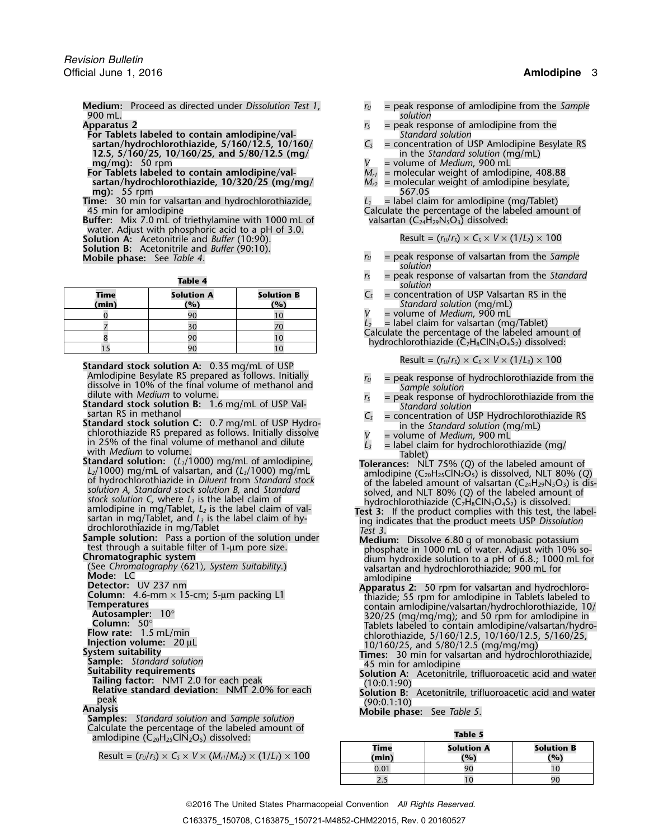**Medium:** Proceed as directed under *Dissolution Test 1*, *<sup>r</sup><sup>U</sup>* = peak response of amlodipine from the *Sample* 900 mL. *solution*

**For Tablets labeled to contain amlodipine/val-**<br> **Standard solution**<br> **Standard solution** Standard Sesylate RS and Sesylate RS and Standard Sesylate RS and Sesylate RS

- **sartan/hydrochlorothiazide, 5/160/12.5, 10/160/**  $C_s$  = concentration of USP Amlodipine B<br>12.5, 5/160/25, 10/160/25, and 5/80/12.5 (mg/ **12.5, 5/160/25, 10/160/25, and 5/80/12.5 (mg/** in the *Standard solution* (mg/mg): 50 rpm
- **For Tablets labeled to contain amlodipine/val-** *Mr1* = molecular weight of amlodipine, 408.88 **sartan/hydrochlorothiazide, 10/320/25 (mg/mg/** *M<sub>r2</sub>* = molecular weight of amlodipine besylate, mg): 55 rpm **mg):** 55 rpm 567.05 **b**

**Time:** 30 min for valsartan and hydrochlorothiazide, *L<sup>1</sup>* = label claim for amlodipine (mg/Tablet)

**Buffer:** Mix 7.0 mL of triethylamine with 1000 mL of water. Adjust with phosphoric acid to a pH of 3.0. **Solution A:** Acetonitrile and *Buffer* (10:90). Result =  $(r_u/r_s) \times C_s \times V \times (1/L_z) \times 100$ **Solution B:** Acetonitrile and *Buffer* (90:10).

| Time  | <b>Solution A</b> | <b>Solution B</b> |  |
|-------|-------------------|-------------------|--|
| (min) | (%)               | (%)               |  |
|       |                   |                   |  |
|       |                   |                   |  |
|       |                   |                   |  |
|       |                   |                   |  |

Standard stock solution A: 0.35 mg/mL of USP<br>Amlodipine Besylate RS prepared as follows. Initially

Amodition Exploite RS prepared as follows. Initially  $\frac{1}{10}$  = peak response of hydrochloothiazide from the<br>dissolve in 10% of the final volume of methanol and<br>standard Standard Standard Standard Standard Standard Stan

Calculate the percentage of the labeled amount of **Table 5 Table 5 Table 5 Table 5 Table 5 Table 5 Table 5 Table 5 Table 5 Table 5 Table 5 Table 5 Table 5 Table 5 Table 5 Table 5 Table 5 T** 

 $Result = (r_U/r_S) \times C_S \times V \times (M_{r1}/M_{r2}) \times (1/L_1) \times 100$ 

- 
- **Apparatus 2**<br>**For Tablets labeled to contain amlodipine/val-**<br>*For Tablets labeled to contain amlodipine/val-***<br>***Standard solution* 
	-
	- **mg/mg):** 50 rpm *V* = volume of *Medium*, 900 mL
		-
		-

45 min for amlodipine<br>
uffer: Mix 7.0 mL of triethylamine with 1000 mL of valsartan  $(C_{24}H_{29}N_5O_3)$  dissolved:

- $r_U$  = peak response of valsartan from the *Sample solution*
- **rable 4 r**<sub>S</sub> = peak response of valsartan from the *Standard solution* 
	- $C<sub>S</sub>$  = concentration of USP Valsartan RS in the (*Standard solution* (mg/mL)<br>*V* = volume of *Medium*. 900 mL
	- <sup>0</sup> <sup>90</sup> <sup>10</sup> *V* = volume of *Medium*, 900 mL
	-

*L*<sub>2</sub> = label claim for valsartan (mg/Tablet)<br>Calculate the percentage of the labeled amount of <br>hydrochlorothiazide (C<sub>7</sub>H<sub>8</sub>ClN<sub>3</sub>O<sub>4</sub>S<sub>2</sub>) dissolved:

$$
Result = (rU/rS) \times CS \times V \times (1/L3) \times 100
$$

- 
- 
- 
- 
- 

- 
- 
- 
- **Peak (90:0.1:10) Relative standard deviation:** NMT 2.0% for each (90:0.1:10)<br>
peak (90:0.1:10)<br> **Analysis** (90:0.1:10) **Analysis** *Standard solution* and *Sample solution*<br> **Samples:** *Standard solution* and *Sample solut*

| --------- |                   |                   |  |  |  |
|-----------|-------------------|-------------------|--|--|--|
| Time      | <b>Solution A</b> | <b>Solution B</b> |  |  |  |
| (min)     | (%)               | (%)               |  |  |  |
| 0.01      | 90                |                   |  |  |  |
| <u>.</u>  |                   |                   |  |  |  |

2016 The United States Pharmacopeial Convention *All Rights Reserved.*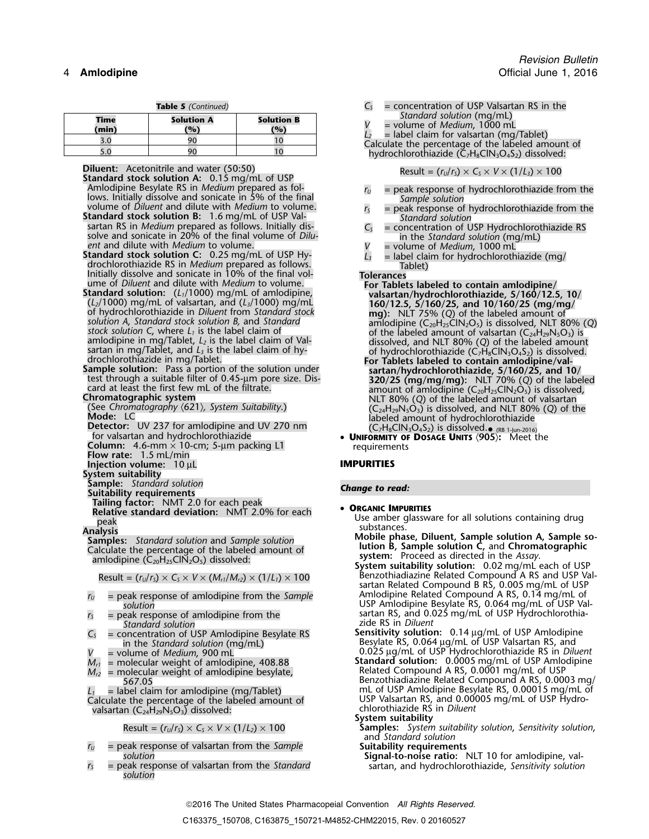|  | Table 5 (Continued) |
|--|---------------------|
|  |                     |

| <b>Time</b><br>(min) | <b>Solution A</b><br>(%) | <b>Solution B</b><br>(%) | Standard solution (mg/mL)<br>$=$ volume of <i>Medium</i> . 1000 mL<br>$=$ label claim for valsartan (mg/Tablet) |
|----------------------|--------------------------|--------------------------|-----------------------------------------------------------------------------------------------------------------|
|                      |                          |                          | Calculate the percentage of the labeled amount of                                                               |
|                      |                          |                          | hydrochlorothiazide $(C_7H_8ClN_3O_4S_2)$ dissolved:                                                            |

- **Diluent:** Acetonitrile and water (50:50)<br> **Standard stock solution A:** 0.15 mg/mL of USP<br>
Amlodipine Besylate RS in *Medium* prepared as fol-<br>  $r_U$  = peak response of hydrochlorothiazide fr Amlodipine Besylate RS in *Medium* prepared as fol-<br>lows. Initially dissolve and sonicate in 5% of the final<br>volume of *Diluent* and dilute with *Medium* to volume.<br>**Standard stock solution B:** 1.6 mg/mL of USP Val-<br>sarta
- sartan RS in *Medium* prepared as follows. Initially dis-<br>solve and sonicate in 20% of the final volume of *Dilu*-<br>ent and dilute with *Medium* to volume.<br>**Standard stock solution C**: 0.25 mg/mL of USP Hy-<br>drochlorothiazi

- 
- 

(RB 1-Jun-2016) for valsartan and hydrochlorothiazide • **<sup>U</sup>NIFORMITY OF DOSAGE UNITS** 〈**905**〉**:** Meet the

**Column:** 4.6-mm × 10-cm; 5-µm packing L1 **Flow rate:** 1.5 mL/min

**Injection volume:** 10 µL **IMPURITIES** 

**System suitability**

**Sample:** *Standard solution Change to read:* **Suitability requirements**

**Tailing factor:** NMT 2.0 for each peak •

- 
- *Standard solution* zide RS in *Diluent*
- 
- 
- 
- 
- 

valsartan (C<sub>24</sub>H<sub>29</sub>N<sub>5</sub>O<sub>3</sub>) dissolved: **System suitability System suitability** 

- *r*<sub>*U*</sub> = peak response of valsartan from the *Sample* **Suitability requirements Suitability requirements Suitability requirements Suitability requirements Suitably requirements Sultion Suitably <b>Suitably Su**
- *<sup>r</sup><sup>S</sup>* = peak response of valsartan from the *Standard* sartan, and hydrochlorothiazide, *Sensitivity solution solution*
- $C_s$  = concentration of USP Valsartan RS in the Standard solution (mg/mL)
	-
- 

- 
- 
- 
- 
- 

- Use of Diluter with Medium to volume.<br>
Standard solution: (L<sub>1</sub>/1000) mg/mL of amlodipine,<br>
(L<sub>2</sub>/1000) mg/mL of valsartan, and (L<sub>3</sub>/1000) mg/mL<br>
(L<sub>2</sub>/1000) mg/mL<br>
of valsartan, and (L<sub>3</sub>/1000) mg/mL<br>
of hydrochlorichic
	-

- meak<br>
The substances.<br>
The substances of the labeled amount of<br>
Result =  $(r_u/r_c) \times C_s \times V \times (M_u/M_c) \times (1/l_1) \times 100$ <br>
Result =  $(r_u/r_c) \times C_s \times V \times (M_u/M_c) \times (1/l_1) \times 100$ <br>
Result =  $(r_u/r_c)$  and the Assay.
- Result =  $(r_0/r_s) \times C_s \times V \times (M_{r1}/M_{r2}) \times (1/L_1) \times 100$ <br>sartan Related Compound B RS, 0.005 mg/mL of USP  $r_v$  = peak response of amlodipine from the *Sample* Amlodipine Related Compound A RS, 0.14 mg/mL of *solution* USP Amlodipine Besylate RS, 0.064 mg/mL of USP Valsartan RS, and 0.025 mg/mL of USP Hydrochlorothia- *<sup>r</sup><sup>S</sup>* = peak response of amlodipine from the
- *C*<sub>S</sub> = concentration of USP Amlodipine Besylate RS **Sensitivity solution:** 0.14 µg/mL of USP Amlodipine in the *Standard solution* (mg/mL) Besylate RS, 0.064 <sup>µ</sup>g/mL of USP Valsartan RS, and in the *Standard solution* (mg/mL)<br>*V* = volume of *Medium*, 900 mL 0.025 µg/mL of USP Hydrochlorothiazide RS in *Diluent*<br>*M<sub>rl</sub>* = molecular weight of amlodipine, 408.88 **Standard solution:** 0.0005 mg/mL of USP Amlodipin
- *M* **Standard solution:** 0.0005 mg/mL of USP Amlodipine *r* molecular weight of amlodipine, 408.88<br> *Melated Compound A RS, 0.0001 mg/mL of USP <sup>M</sup>r2* = molecular weight of amlodipine besylate, Related Compound A RS, 0.0001 mg/mL of USP 567.05 Benzothiadiazine Related Compound A RS, 0.0003 mg/ *Label claim for amlodipine (mg/Tablet)* **12** mL of USP Amlodipine Besylate RS, 0.00015 mg/mL of Calculate the percentage of the labeled amount of USP Valsartan RS, and 0.00005 mg/mL of USP Hydro-<br>valsartan  $(C_{24}H_{29}N_5O_3)$  dissolved:<br>valsartan  $(C_{24}H_{29}N_5O_3)$  dissolved:
	-
	- Result =  $(r_v/r_s) \times C_s \times V \times (1/L_2) \times 100$  **Samples:** System suitability solution, Sensitivity solution, and *Standard solution*
		-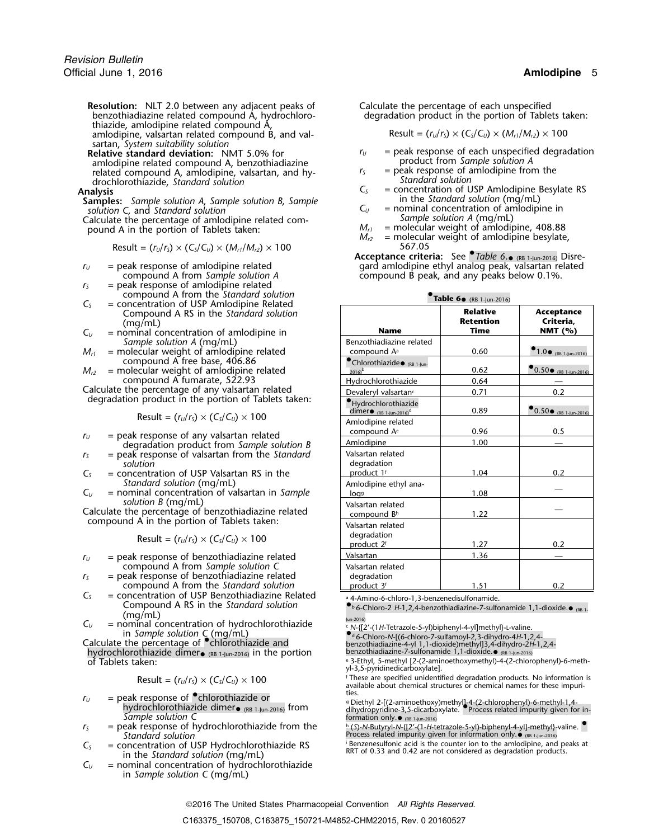**Resolution:** NLT 2.0 between any adjacent peaks of Calculate the percentage of each unspecified benzothiadiazine related compound A, hydrochloro-<br>degradation product in the portion of Table thiazide, amlodipine related compound A,

amlodipine, valsartan related compound B, and val- $R$ esult =  $(r_u/r_s) \times (C_s/C_u) \times (M_{r1}/M_{r2}) \times 100$ sartan, *System suitability solution*

amlodipine related compound A, benzothiadiazine **product from** *Sample solution A*<br>
product from *Sample solution A*<br>
peak response of amlodipine from the related compound A, amlodipine, valsartan, and hy-<br>drochlorothiazide. Standard solution<br>Standard solution drochlorothiazide, *Standard solution Standard solution*

**Samples:** Sample solution A, Sample solution B, Sample *Sample* in the Standard solution (mg/mL) *solution C*, and *Standard solution <sup>C</sup><sup>U</sup>* = nominal concentration of amlodipine in

Calculate the percentage of amlodipine related com-<br>
pound A in the portion of Tablets taken:  $M_{r1}$  = molecular weight of amlodipine, 408.88 pound A in the portion of Tablets taken:  $M_{11}$   $M_{12}$ 

$$
Result = (rU/rS) \times (CS/CU) \times (Mr1/Mr2) \times 100
$$
 567.05

$$
r_U
$$
 = peak response of a  
compound A from *Sample solution A*  
 $r_S$  = peak response of a  
modipine related

compound A from the *Standard solution* **•** $C<sub>S</sub>$  = concentration of USP Amlodipine Related

- Compound A RS in the *Standard solution* **Relative Acceptance**  $C_U$  = nominal concentration of amlodipine in
- *Sample solution A* (mg/mL)
- $M_{r1}$  = molecular weight of amlodipine related compound A free base,  $406.86$
- compound A fumarate,  $522.93$

$$
Result = (r_U/r_S) \times (C_S/C_U) \times 100
$$

- $r_U$  = peak response of any valsartan related
- degradation product from Sample solution B  $r<sub>S</sub>$  = peak response of valsartan from the *Standard* solution
- $C<sub>S</sub>$  = concentration of USP Valsartan RS in the *Standard solution* (mg/mL)
- $C_U$  = nominal concentration of valsartan in *Sample solution B* (mg/mL)

- $r_U$  = peak response of benzothiadiazine related compound A from *Sample solution* C
- $r<sub>S</sub>$  = peak response of benzothiadiazine related compound A from the *Standard solution*
- $C<sub>S</sub>$  = concentration of USP Benzothiadiazine Related . 4-Amino-6-chloro-1,3-benzenedisulfonamide. Compound A RS in the *Standard solution* •
- $C_U$  = nominal concentration of hydrochlorothiazide  $\begin{array}{r} \text{where} \\ \text{for } \\ \text{of } \\ \text{Calculate the percentage of } \\ \text{Calculate the percentage of } \\ \text{C} \end{array}$  and  $\begin{array}{r} \text{where} \\ \text{of } \\ \text{of } \\ \text{Calculate the percentage of } \\ \text{of } \\ \text{C} \end{array}$  $C_U$  = norminal concertuation of hydrocritorotrilazide<br>in Sample solution C (mg/mL)<br>Calculate the percentage of Chlorothiazide and<br>Pag-Chloro-N-[(6-chloro-7-sulfamoyl-2,3-dihydro-4H-1,2,4-

hydrochlorothiazide dimer $_{\bullet}$  (RB 1-Jun-2016) in the portion  $_{\rm}$  benzothiadiazine-7-sulfonamide 1,1-dioxide. $\bullet$  (RB 1-Jun-2016) <sup>e</sup> of Tablets taken: . 3-Ethyl, 5-methyl [2-(2-aminoethoxymethyl)-4-(2-chlorophenyl)-6-meth-

$$
Result = (r_U/r_S) \times (C_S/C_U) \times 100
$$

- $r_U$  = peak response of  $\bullet$  chlorothiazide or hydrochlorothiazide dimer $\bullet$  (RB 1-Jun-2016) from **Sample solution C** formation only. **•** (RB 1-Jun-2016)<br>
Sample solution C **formation only. P** (S)-N-Butyryl-N-{[2'-(1-H-te
- 
- $C_5$  = concentration of USP Hydrochlorothiazide RS is the counter ion to the amlodipine, and peaks at in the *Standard solution* (mg/mL) is the Concentration of USP Hydrochlorothiazide RS in the *Standard solution* (mg/m
- $C_U$  = nominal concentration of hydrochlorothiazide in *Sample solution C* (mg/mL)

degradation product in the portion of Tablets taken:

$$
Result = (rU/rS) \times (CS/CU) \times (Mr1/Mr2) \times 100
$$

- **Relative standard deviation:** NMT 5.0% for  $r_U$  = peak response of each unspecified degradation amlodipine related compound A. benzothiadiazine
	-
	- = concentration of USP Amlodipine Besylate RS<br>in the Standard solution (mg/mL)
	-
	-

= molecular weight of amlodipine besylate,

**Acceptance criteria:** See *Table 6.* (RB 1-Jun-2016) Disre*<sup>r</sup><sup>U</sup>* = peak response of amlodipine related gard amlodipine ethyl analog peak, valsartan related compound B peak, and any peaks below 0.1%.

**.Table 6**•

| $\mathsf{C}^{\mathsf{c}}$<br>= concentration of USP Amlodipine Related |                                                                                                                           | <b>Table 00</b> (RB 1-Jun-2016)                                     |                                                    |                                              |  |
|------------------------------------------------------------------------|---------------------------------------------------------------------------------------------------------------------------|---------------------------------------------------------------------|----------------------------------------------------|----------------------------------------------|--|
| $\mathsf{C}_\mathsf{U}$                                                | Compound A RS in the Standard solution<br>(mq/mL)<br>$=$ nominal concentration of amlodipine in                           | <b>Name</b>                                                         | <b>Relative</b><br><b>Retention</b><br><b>Time</b> | <b>Acceptance</b><br>Criteria,<br>NMT $(% )$ |  |
|                                                                        | Sample solution A (mg/mL)                                                                                                 | Benzothiadiazine related                                            |                                                    |                                              |  |
| $M_{r1}$                                                               | $=$ molecular weight of amlodipine related                                                                                | compound A <sup>a</sup>                                             | 0.60                                               | $1.0 \cdot$ (RB 1-Jun-2016)                  |  |
| $M_{r2}$                                                               | compound A free base, 406.86<br>= molecular weight of amlodipine related                                                  | Chlorothiazide <sub>(RB 1-Jun-</sub><br>$2016$ <sup>b</sup>         | 0.62                                               | $0.50 \cdot$ (RB 1-lun-2016)                 |  |
|                                                                        | compound A fumarate, 522.93                                                                                               | Hydrochlorothiazide                                                 | 0.64                                               |                                              |  |
|                                                                        | Calculate the percentage of any valsartan related                                                                         | Devaleryl valsartan <sup>c</sup>                                    | 0.71                                               | 0.2                                          |  |
|                                                                        | degradation product in the portion of Tablets taken:                                                                      | Hydrochlorothiazide<br>dimer $\bullet$ (RB 1-Jun-2016) <sup>d</sup> | 0.89                                               | $0.50 \cdot$ (RB 1-Jun-2016)                 |  |
|                                                                        | Result = $(r_U/r_s) \times (C_s/C_u) \times 100$                                                                          | Amlodipine related<br>compound A <sup>e</sup>                       | 0.96                                               | 0.5                                          |  |
| $r_U$                                                                  | $=$ peak response of any valsartan related<br>degradation product from Sample solution B                                  | Amlodipine                                                          | 1.00                                               |                                              |  |
| rs<br>$\mathsf{C}_\mathsf{S}$                                          | $=$ peak response of valsartan from the Standard<br>solution<br>$=$ concentration of USP Valsartan RS in the              | Valsartan related<br>degradation<br>product 1 <sup>f</sup>          | 1.04                                               | 0.2                                          |  |
| $\mathsf{C}_U$                                                         | Standard solution (mg/mL)<br>$=$ nominal concentration of valsartan in Sample                                             | Amlodipine ethyl ana-<br>loas                                       | 1.08                                               |                                              |  |
|                                                                        | solution $B \, (mg/mL)$<br>Calculate the percentage of benzothiadiazine related                                           | Valsartan related<br>compound Bh                                    | 1.22                                               |                                              |  |
|                                                                        | compound A in the portion of Tablets taken:<br>Result = $(r_U/r_s) \times (C_s/C_u) \times 100$                           | Valsartan related<br>degradation<br>product 2 <sup>f</sup>          | 1.27                                               | 0.2                                          |  |
| $r_U$                                                                  | $=$ peak response of benzothiadiazine related                                                                             | Valsartan                                                           | 1.36                                               |                                              |  |
| r <sub>s</sub>                                                         | compound A from Sample solution C<br>= peak response of benzothiadiazine related<br>compound A from the Standard solution | Valsartan related<br>degradation<br>product 3 <sup>f</sup>          | 1.51                                               | 0.2                                          |  |

<sup>b</sup> 6-Chloro-2 H-1,2,4-benzothiadiazine-7-sulfonamide 1,1-dioxide.●

yl-3,5-pyridinedicarboxylate].

<sup>f</sup> These are specified unidentified degradation products. No information is available about chemical structures or chemical names for these impurities.

. Diethyl 2-[(2-aminoethoxy)methyl]-4-(2-chlorophenyl)-6-methyl-1,4- hydrochlorothiazide dimer• (RB 1-Jun-2016) from dihydropyridine-3,5-dicarboxylate. •.Process related impurity given for in-

 $r_S$  = peak response of hydrochlorothiazide from the  $r_S$  of  $S$ -N-Butyryl-N-{[2'-(1-H-tetrazole-5-yl)-biphenyl-4-yl]-methyl}-valine.

### 2016 The United States Pharmacopeial Convention *All Rights Reserved.*